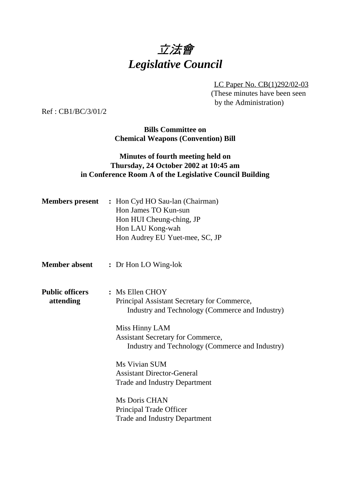# 立法會 *Legislative Council*

LC Paper No. CB(1)292/02-03 (These minutes have been seen by the Administration)

Ref : CB1/BC/3/01/2

**Bills Committee on Chemical Weapons (Convention) Bill**

## **Minutes of fourth meeting held on Thursday, 24 October 2002 at 10:45 am in Conference Room A of the Legislative Council Building**

|                                     | <b>Members present</b> : Hon Cyd HO Sau-lan (Chairman)<br>Hon James TO Kun-sun<br>Hon HUI Cheung-ching, JP<br>Hon LAU Kong-wah<br>Hon Audrey EU Yuet-mee, SC, JP |
|-------------------------------------|------------------------------------------------------------------------------------------------------------------------------------------------------------------|
| <b>Member absent</b>                | : Dr Hon LO Wing-lok                                                                                                                                             |
| <b>Public officers</b><br>attending | : Ms Ellen CHOY<br>Principal Assistant Secretary for Commerce,<br>Industry and Technology (Commerce and Industry)                                                |
|                                     | Miss Hinny LAM<br><b>Assistant Secretary for Commerce,</b><br>Industry and Technology (Commerce and Industry)                                                    |
|                                     | Ms Vivian SUM<br><b>Assistant Director-General</b><br><b>Trade and Industry Department</b>                                                                       |
|                                     | Ms Doris CHAN<br>Principal Trade Officer<br><b>Trade and Industry Department</b>                                                                                 |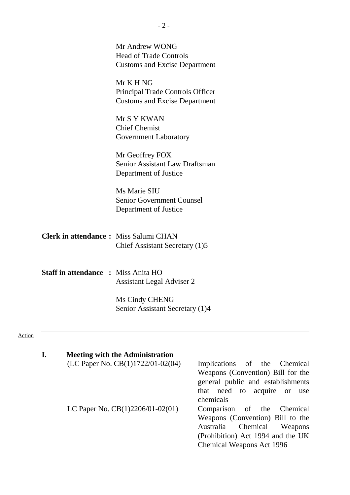|                                            | Mr Andrew WONG<br><b>Head of Trade Controls</b><br><b>Customs and Excise Department</b>                                                          |
|--------------------------------------------|--------------------------------------------------------------------------------------------------------------------------------------------------|
|                                            |                                                                                                                                                  |
|                                            |                                                                                                                                                  |
|                                            |                                                                                                                                                  |
|                                            |                                                                                                                                                  |
|                                            | Mr K H NG                                                                                                                                        |
|                                            | Principal Trade Controls Officer                                                                                                                 |
|                                            | <b>Customs and Excise Department</b>                                                                                                             |
|                                            |                                                                                                                                                  |
|                                            | Mr S Y KWAN                                                                                                                                      |
|                                            | <b>Chief Chemist</b>                                                                                                                             |
|                                            | Government Laboratory                                                                                                                            |
|                                            | Mr Geoffrey FOX                                                                                                                                  |
|                                            | Senior Assistant Law Draftsman                                                                                                                   |
|                                            | Department of Justice                                                                                                                            |
|                                            |                                                                                                                                                  |
|                                            | Ms Marie SIU                                                                                                                                     |
|                                            | <b>Senior Government Counsel</b>                                                                                                                 |
|                                            | Department of Justice                                                                                                                            |
|                                            | <b>Clerk in attendance:</b> Miss Salumi CHAN<br>Chief Assistant Secretary (1)5                                                                   |
| <b>Staff in attendance : Miss Anita HO</b> | <b>Assistant Legal Adviser 2</b>                                                                                                                 |
|                                            | Ms Cindy CHENG                                                                                                                                   |
|                                            | Senior Assistant Secretary (1)4                                                                                                                  |
|                                            |                                                                                                                                                  |
|                                            |                                                                                                                                                  |
|                                            |                                                                                                                                                  |
| I.                                         | <b>Meeting with the Administration</b>                                                                                                           |
|                                            | (LC Paper No. CB(1)1722/01-02(04) —<br>Implications of the<br>Chemical<br>Weapons (Convention) Bill for the<br>general public and establishments |

ion) Bill for the establishments that need to acquire or use chemicals

LC Paper No.  $CB(1)2206/01-02(01)$  - Comparison of the Chemical Weapons (Convention) Bill to the Australia Chemical Weapons (Prohibition) Act 1994 and the UK Chemical Weapons Act 1996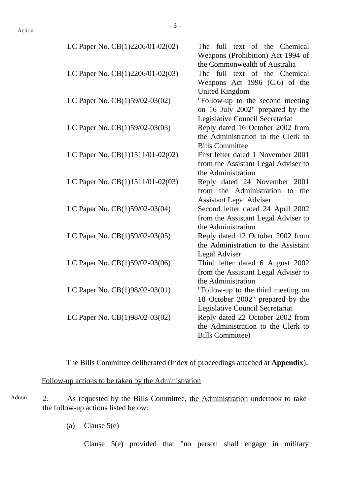| LC Paper No. CB(1)2206/01-02(02) | The<br>full text of the Chemical       |
|----------------------------------|----------------------------------------|
|                                  | Weapons (Prohibition) Act 1994 of      |
|                                  | the Commonwealth of Australia          |
| LC Paper No. CB(1)2206/01-02(03) | The full text of the Chemical          |
|                                  | Weapons Act $1996$ (C.6) of the        |
|                                  | <b>United Kingdom</b>                  |
| LC Paper No. CB(1)59/02-03(02)   | "Follow-up to the second meeting       |
|                                  | on 16 July 2002" prepared by the       |
|                                  | <b>Legislative Council Secretariat</b> |
| LC Paper No. CB(1)59/02-03(03)   | Reply dated 16 October 2002 from       |
|                                  | the Administration to the Clerk to     |
|                                  | <b>Bills Committee</b>                 |
| LC Paper No. CB(1)1511/01-02(02) | First letter dated 1 November 2001     |
|                                  | from the Assistant Legal Adviser to    |
|                                  | the Administration                     |
| LC Paper No. CB(1)1511/01-02(03) | Reply dated 24 November 2001           |
|                                  | from the Administration to the         |
|                                  | <b>Assistant Legal Adviser</b>         |
| LC Paper No. CB(1)59/02-03(04)   | Second letter dated 24 April 2002      |
|                                  | from the Assistant Legal Adviser to    |
|                                  | the Administration                     |
| LC Paper No. CB(1)59/02-03(05)   | Reply dated 12 October 2002 from       |
|                                  | the Administration to the Assistant    |
|                                  | Legal Adviser                          |
| LC Paper No. CB(1)59/02-03(06)   | Third letter dated 6 August 2002       |
|                                  | from the Assistant Legal Adviser to    |
|                                  | the Administration                     |
| LC Paper No. CB(1)98/02-03(01)   | "Follow-up to the third meeting on     |
|                                  | 18 October 2002" prepared by the       |
|                                  | Legislative Council Secretariat        |
| LC Paper No. CB(1)98/02-03(02)   | Reply dated 22 October 2002 from       |
|                                  | the Administration to the Clerk to     |
|                                  | <b>Bills Committee)</b>                |

The Bills Committee deliberated (Index of proceedings attached at **Appendix**).

Follow-up actions to be taken by the Administration

- Admin 2. As requested by the Bills Committee, the Administration undertook to take the follow-up actions listed below:
	- (a) Clause  $5(e)$

Clause 5(e) provided that "no person shall engage in military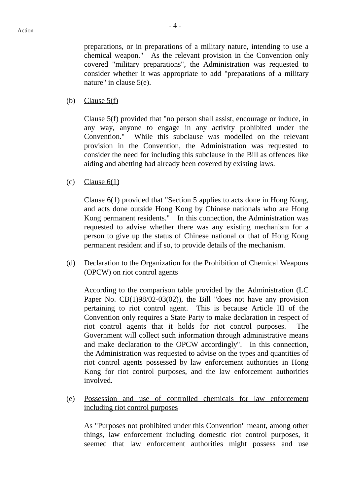$-4-$ 

preparations, or in preparations of a military nature, intending to use a chemical weapon." As the relevant provision in the Convention only covered "military preparations", the Administration was requested to consider whether it was appropriate to add "preparations of a military nature" in clause 5(e).

(b) Clause  $5(f)$ 

Clause 5(f) provided that "no person shall assist, encourage or induce, in any way, anyone to engage in any activity prohibited under the Convention." While this subclause was modelled on the relevant provision in the Convention, the Administration was requested to consider the need for including this subclause in the Bill as offences like aiding and abetting had already been covered by existing laws.

(c) Clause  $6(1)$ 

Clause 6(1) provided that "Section 5 applies to acts done in Hong Kong, and acts done outside Hong Kong by Chinese nationals who are Hong Kong permanent residents." In this connection, the Administration was requested to advise whether there was any existing mechanism for a person to give up the status of Chinese national or that of Hong Kong permanent resident and if so, to provide details of the mechanism.

(d) Declaration to the Organization for the Prohibition of Chemical Weapons (OPCW) on riot control agents

According to the comparison table provided by the Administration (LC Paper No. CB(1)98/02-03(02)), the Bill "does not have any provision pertaining to riot control agent. This is because Article III of the Convention only requires a State Party to make declaration in respect of riot control agents that it holds for riot control purposes. The Government will collect such information through administrative means and make declaration to the OPCW accordingly". In this connection, the Administration was requested to advise on the types and quantities of riot control agents possessed by law enforcement authorities in Hong Kong for riot control purposes, and the law enforcement authorities involved.

(e) Possession and use of controlled chemicals for law enforcement including riot control purposes

As "Purposes not prohibited under this Convention" meant, among other things, law enforcement including domestic riot control purposes, it seemed that law enforcement authorities might possess and use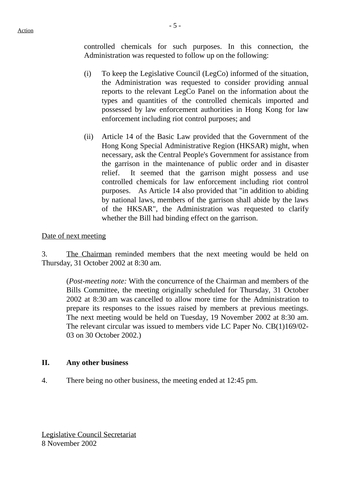controlled chemicals for such purposes. In this connection, the Administration was requested to follow up on the following:

- (i) To keep the Legislative Council (LegCo) informed of the situation, the Administration was requested to consider providing annual reports to the relevant LegCo Panel on the information about the types and quantities of the controlled chemicals imported and possessed by law enforcement authorities in Hong Kong for law enforcement including riot control purposes; and
- (ii) Article 14 of the Basic Law provided that the Government of the Hong Kong Special Administrative Region (HKSAR) might, when necessary, ask the Central People's Government for assistance from the garrison in the maintenance of public order and in disaster relief. It seemed that the garrison might possess and use controlled chemicals for law enforcement including riot control purposes. As Article 14 also provided that "in addition to abiding by national laws, members of the garrison shall abide by the laws of the HKSAR", the Administration was requested to clarify whether the Bill had binding effect on the garrison.

#### Date of next meeting

3. The Chairman reminded members that the next meeting would be held on Thursday, 31 October 2002 at 8:30 am.

(*Post-meeting note:* With the concurrence of the Chairman and members of the Bills Committee, the meeting originally scheduled for Thursday, 31 October 2002 at 8:30 am was cancelled to allow more time for the Administration to prepare its responses to the issues raised by members at previous meetings. The next meeting would be held on Tuesday, 19 November 2002 at 8:30 am. The relevant circular was issued to members vide LC Paper No. CB(1)169/02- 03 on 30 October 2002.)

#### **II. Any other business**

4. There being no other business, the meeting ended at 12:45 pm.

Legislative Council Secretariat 8 November 2002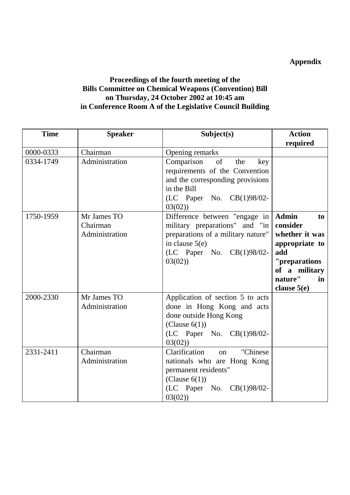## **Appendix**

## **Proceedings of the fourth meeting of the Bills Committee on Chemical Weapons (Convention) Bill on Thursday, 24 October 2002 at 10:45 am in Conference Room A of the Legislative Council Building**

| <b>Time</b> | <b>Speaker</b>                            | Subject(s)                                                                                                                                                                         | <b>Action</b>                                                                                                                                  |
|-------------|-------------------------------------------|------------------------------------------------------------------------------------------------------------------------------------------------------------------------------------|------------------------------------------------------------------------------------------------------------------------------------------------|
| 0000-0333   | Chairman                                  |                                                                                                                                                                                    | required                                                                                                                                       |
| 0334-1749   | Administration                            | Opening remarks<br>of<br>Comparison<br>the<br>key<br>requirements of the Convention<br>and the corresponding provisions<br>in the Bill<br>$(LC$ Paper No. $CB(1)98/02$ -<br>03(02) |                                                                                                                                                |
| 1750-1959   | Mr James TO<br>Chairman<br>Administration | Difference between "engage in<br>military preparations" and "in<br>preparations of a military nature"<br>in clause $5(e)$<br>$(LC$ Paper No. $CB(1)98/02$ -<br>03(02)              | <b>Admin</b><br>to<br>consider<br>whether it was<br>appropriate to<br>add<br>"preparations"<br>of a military<br>nature"<br>in<br>clause $5(e)$ |
| 2000-2330   | Mr James TO<br>Administration             | Application of section 5 to acts<br>done in Hong Kong and acts<br>done outside Hong Kong<br>(Clause $6(1)$ )<br>$(LC$ Paper No. $CB(1)98/02$ -<br>03(02)                           |                                                                                                                                                |
| 2331-2411   | Chairman<br>Administration                | Clarification<br>"Chinese<br>on<br>nationals who are Hong Kong<br>permanent residents"<br>(Clause $6(1)$ )<br>$(LC$ Paper No. $CB(1)98/02$ -<br>03(02)                             |                                                                                                                                                |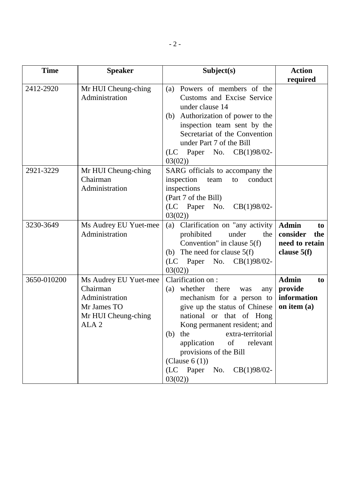| <b>Time</b> | <b>Speaker</b>                                                                                                | Subject(s)                                                                                                                                                                                                                                                                                                                                | <b>Action</b><br>required                                                |
|-------------|---------------------------------------------------------------------------------------------------------------|-------------------------------------------------------------------------------------------------------------------------------------------------------------------------------------------------------------------------------------------------------------------------------------------------------------------------------------------|--------------------------------------------------------------------------|
| 2412-2920   | Mr HUI Cheung-ching<br>Administration                                                                         | Powers of members of the<br>(a)<br>Customs and Excise Service<br>under clause 14<br>Authorization of power to the<br>(b)<br>inspection team sent by the<br>Secretariat of the Convention<br>under Part 7 of the Bill<br>$(LC$ Paper No. $CB(1)98/02$ -<br>03(02)                                                                          |                                                                          |
| 2921-3229   | Mr HUI Cheung-ching<br>Chairman<br>Administration                                                             | SARG officials to accompany the<br>inspection<br>conduct<br>team<br>to<br>inspections<br>(Part 7 of the Bill)<br>(LC Paper No.<br>$CB(1)98/02-$<br>03(02)                                                                                                                                                                                 |                                                                          |
| 3230-3649   | Ms Audrey EU Yuet-mee<br>Administration                                                                       | (a) Clarification on "any activity<br>prohibited<br>under<br>the<br>Convention" in clause $5(f)$<br>(b) The need for clause $5(f)$<br>(LC Paper No.<br>$CB(1)98/02-$<br>03(02)                                                                                                                                                            | <b>Admin</b><br>to<br>consider<br>the<br>need to retain<br>clause $5(f)$ |
| 3650-010200 | Ms Audrey EU Yuet-mee<br>Chairman<br>Administration<br>Mr James TO<br>Mr HUI Cheung-ching<br>ALA <sub>2</sub> | Clarification on:<br>whether<br>there<br>(a)<br>was<br>any<br>mechanism for a person to<br>give up the status of Chinese<br>national or that of Hong<br>Kong permanent resident; and<br>$(b)$ the<br>extra-territorial<br>application of<br>relevant<br>provisions of the Bill<br>(Clause $6(1)$ )<br>(LC Paper No. CB(1)98/02-<br>03(02) | <b>Admin</b><br>to<br>provide<br>information<br>on item (a)              |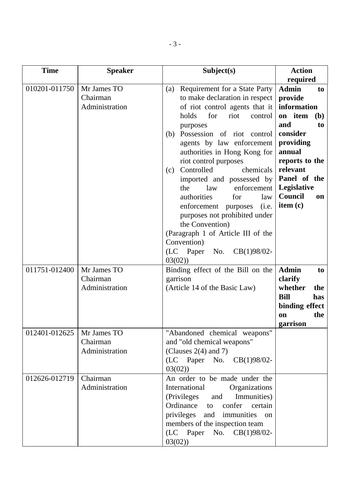| <b>Time</b>                    | <b>Speaker</b>                                                                         | Subject(s)                                                                                                                                                                                                                                                                                                                                                                                                                                                                                                                                                                                                                                                                                       | <b>Action</b>                                                                                                                                                                                                                                                                                               |
|--------------------------------|----------------------------------------------------------------------------------------|--------------------------------------------------------------------------------------------------------------------------------------------------------------------------------------------------------------------------------------------------------------------------------------------------------------------------------------------------------------------------------------------------------------------------------------------------------------------------------------------------------------------------------------------------------------------------------------------------------------------------------------------------------------------------------------------------|-------------------------------------------------------------------------------------------------------------------------------------------------------------------------------------------------------------------------------------------------------------------------------------------------------------|
| 010201-011750<br>011751-012400 | Mr James TO<br>Chairman<br>Administration<br>Mr James TO<br>Chairman<br>Administration | <b>Requirement for a State Party</b><br>(a)<br>to make declaration in respect<br>of riot control agents that it<br>holds<br>for<br>riot<br>control<br>purposes<br>Possession of riot control<br>(b)<br>agents by law enforcement<br>authorities in Hong Kong for<br>riot control purposes<br>Controlled<br>chemicals<br>(c)<br>imported and possessed by<br>law<br>enforcement<br>the<br>authorities<br>for<br>law<br>enforcement<br>(i.e.<br>purposes<br>purposes not prohibited under<br>the Convention)<br>(Paragraph 1 of Article III of the<br>Convention)<br>(LC Paper<br>No.<br>$CB(1)98/02-$<br>03(02)<br>Binding effect of the Bill on the<br>garrison<br>(Article 14 of the Basic Law) | required<br><b>Admin</b><br>to<br>provide<br>information<br>on item<br><b>(b)</b><br>and<br>to<br>consider<br>providing<br>annual<br>reports to the<br>relevant<br>Panel of the<br><b>Legislative</b><br>Council<br>on<br>item (c)<br><b>Admin</b><br>to<br>clarify<br>whether<br>the<br><b>Bill</b><br>has |
|                                |                                                                                        |                                                                                                                                                                                                                                                                                                                                                                                                                                                                                                                                                                                                                                                                                                  | binding effect<br>the<br><b>on</b><br>garrison                                                                                                                                                                                                                                                              |
| 012401-012625                  | Mr James TO<br>Chairman<br>Administration                                              | "Abandoned chemical weapons"<br>and "old chemical weapons"<br>(Clauses $2(4)$ and 7)<br>(LC Paper No.<br>$CB(1)98/02-$<br>03(02)                                                                                                                                                                                                                                                                                                                                                                                                                                                                                                                                                                 |                                                                                                                                                                                                                                                                                                             |
| 012626-012719                  | Chairman<br>Administration                                                             | An order to be made under the<br>International<br>Organizations<br>(Privileges<br>Immunities)<br>and<br>Ordinance to<br>confer<br>certain<br>privileges and immunities<br>on<br>members of the inspection team<br>(LC Paper No. CB(1)98/02-<br>03(02)                                                                                                                                                                                                                                                                                                                                                                                                                                            |                                                                                                                                                                                                                                                                                                             |